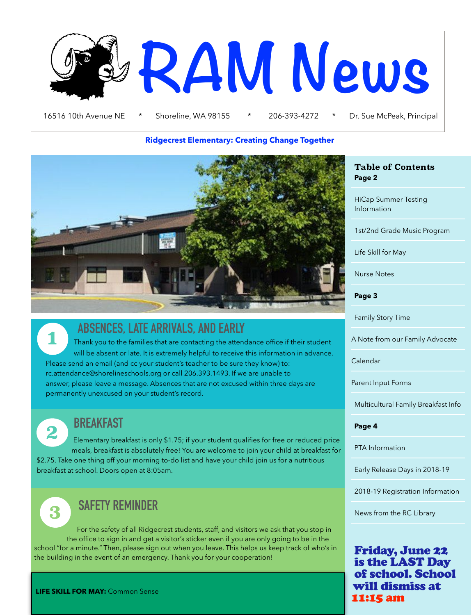

#### **Ridgecrest Elementary: Creating Change Together**



 **ABSENCES, LATE ARRIVALS, AND EARLY** 

**1** Thank you to the families that are contacting the attendance office if their student will be absent or late. It is extremely helpful to receive this information in advance. Please send an email (and cc your student's teacher to be sure they know) to: [rc.attendance@shorelineschools.org](mailto:rc.attendance@shorelineschools.org) or call 206.393.1493. If we are unable to answer, please leave a message. Absences that are not excused within three days are permanently unexcused on your student's record.

**2 BREAKFAST**

 Elementary breakfast is only \$1.75; if your student qualifies for free or reduced price meals, breakfast is absolutely free! You are welcome to join your child at breakfast for \$2.75. Take one thing off your morning to-do list and have your child join us for a nutritious breakfast at school. Doors open at 8:05am.

# **3 SAFETY REMINDER**

For the safety of all Ridgecrest students, staff, and visitors we ask that you stop in the office to sign in and get a visitor's sticker even if you are only going to be in the school "for a minute." Then, please sign out when you leave. This helps us keep track of who's in the building in the event of an emergency. Thank you for your cooperation!

#### **Table of Contents Page 2**

HiCap Summer Testing Information

1st/2nd Grade Music Program

Life Skill for May

Nurse Notes

**Page 3** 

Family Story Time

A Note from our Family Advocate

Calendar

Parent Input Forms

Multicultural Family Breakfast Info

#### **Page 4**

PTA Information

Early Release Days in 2018-19

2018-19 Registration Information

News from the RC Library

Friday, June 22 is the LAST Day of school. School will dismiss at 11:15 am

**LIFE SKILL FOR MAY:** Common Sense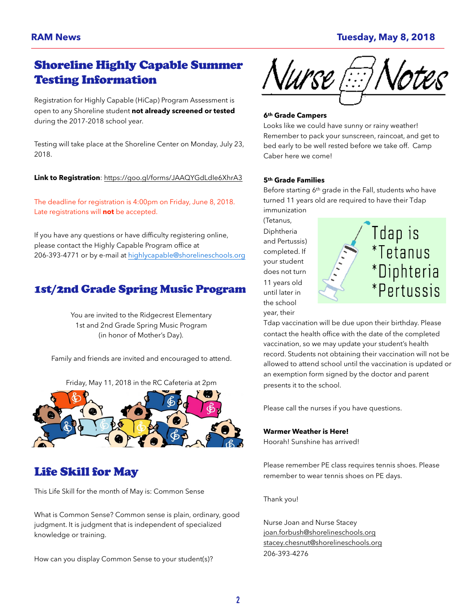# Shoreline Highly Capable Summer Testing Information

Registration for Highly Capable (HiCap) Program Assessment is open to any Shoreline student **not already screened or tested** during the 2017-2018 school year.

Testing will take place at the Shoreline Center on Monday, July 23, 2018.

**Link to Registration**: <https://goo.gl/forms/JAAQYGdLdIe6XhrA3>

The deadline for registration is 4:00pm on Friday, June 8, 2018. Late registrations will **not** be accepted.

If you have any questions or have difficulty registering online, please contact the Highly Capable Program office at 206-393-4771 or by e-mail at [highlycapable@shorelineschools.org](mailto:highlycapable@shorelineschools.org)

### 1st/2nd Grade Spring Music Program

You are invited to the Ridgecrest Elementary 1st and 2nd Grade Spring Music Program (in honor of Mother's Day).

Family and friends are invited and encouraged to attend.

Friday, May 11, 2018 in the RC Cafeteria at 2pm



# Life Skill for May

This Life Skill for the month of May is: Common Sense

What is Common Sense? Common sense is plain, ordinary, good judgment. It is judgment that is independent of specialized knowledge or training.

How can you display Common Sense to your student(s)?



#### **6th Grade Campers**

Looks like we could have sunny or rainy weather! Remember to pack your sunscreen, raincoat, and get to bed early to be well rested before we take off. Camp Caber here we come!

#### **5th Grade Families**

Before starting 6th grade in the Fall, students who have turned 11 years old are required to have their Tdap immunization

(Tetanus, Diphtheria and Pertussis) completed. If your student does not turn 11 years old until later in the school year, their



Tdap vaccination will be due upon their birthday. Please contact the health office with the date of the completed vaccination, so we may update your student's health record. Students not obtaining their vaccination will not be allowed to attend school until the vaccination is updated or an exemption form signed by the doctor and parent presents it to the school.

Please call the nurses if you have questions.

#### **Warmer Weather is Here!**

Hoorah! Sunshine has arrived!

Please remember PE class requires tennis shoes. Please remember to wear tennis shoes on PE days.

Thank you!

Nurse Joan and Nurse Stacey [joan.forbush@shorelineschools.org](mailto:joan.forbush@shorelineschools.org) [stacey.chesnut@shorelineschools.org](mailto:stacey.chesnut@shorelineschools.org) 206-393-4276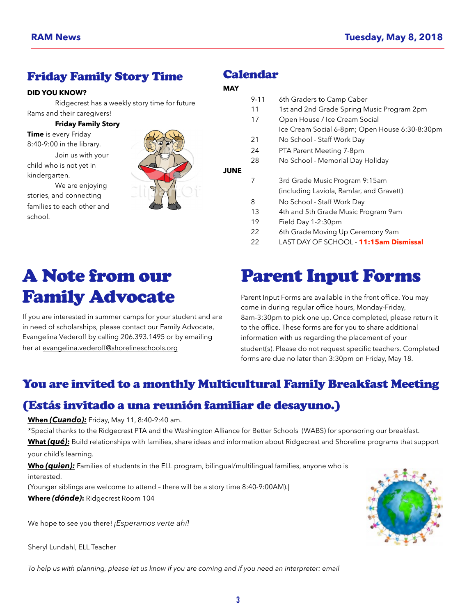## Friday Family Story Time

#### **DID YOU KNOW?**

 Ridgecrest has a weekly story time for future Rams and their caregivers!

#### **Friday Family Story**

**Time** is every Friday

8:40-9:00 in the library. Join us with your

child who is not yet in kindergarten.

 We are enjoying stories, and connecting families to each other and school.



### Calendar

#### **MAY**

|             | $9 - 11$ | 6th Graders to Camp Caber                      |
|-------------|----------|------------------------------------------------|
|             | 11       | 1st and 2nd Grade Spring Music Program 2pm     |
|             | 17       | Open House / Ice Cream Social                  |
|             |          | Ice Cream Social 6-8pm; Open House 6:30-8:30pm |
|             | 21       | No School - Staff Work Day                     |
|             | 24       | PTA Parent Meeting 7-8pm                       |
|             | 28       | No School - Memorial Day Holiday               |
| <b>JUNE</b> |          |                                                |
|             | 7        | 3rd Grade Music Program 9:15am                 |
|             |          | (including Laviola, Ramfar, and Gravett)       |
|             | 8        | No School - Staff Work Day                     |
|             | 13       | 4th and 5th Grade Music Program 9am            |
|             | 19       | Field Day 1-2:30pm                             |
|             | 22       | 6th Grade Moving Up Ceremony 9am               |
|             | 22       | LAST DAY OF SCHOOL - <b>11:15am Dismissal</b>  |
|             |          |                                                |

# Parent Input Forms

Parent Input Forms are available in the front office. You may come in during regular office hours, Monday-Friday, 8am-3:30pm to pick one up. Once completed, please return it to the office. These forms are for you to share additional information with us regarding the placement of your student(s). Please do not request specific teachers. Completed forms are due no later than 3:30pm on Friday, May 18.

# You are invited to a monthly Multicultural Family Breakfast Meeting

# (Estás invitado a una reunión familiar de desayuno.)

#### **When** *(Cuando):* Friday, May 11, 8:40-9:40 am.

A Note from our

Family Advocate

her at [evangelina.vederoff@shorelineschools.org](mailto:evangelina.vederoff@shorelineschools.org)

If you are interested in summer camps for your student and are in need of scholarships, please contact our Family Advocate, Evangelina Vederoff by calling 206.393.1495 or by emailing

\*Special thanks to the Ridgecrest PTA and the Washington Alliance for Better Schools (WABS) for sponsoring our breakfast. **What** *(qué)***:** Build relationships with families, share ideas and information about Ridgecrest and Shoreline programs that support your child's learning.

**Who** *(quien):* Families of students in the ELL program, bilingual/multilingual families, anyone who is interested.

(Younger siblings are welcome to attend – there will be a story time 8:40-9:00AM).|

**Where** *(dónde)***:** Ridgecrest Room 104

We hope to see you there! *¡Esperamos verte ahí!* 

Sheryl Lundahl, ELL Teacher

To help us with planning, please let us know if you are coming and if you need an interpreter: email